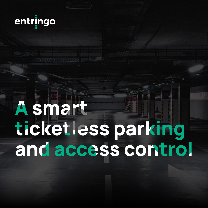

# Asmart ticketless parking and access control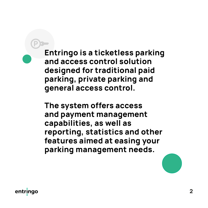**Entringo is a ticketless parking and access control solution designed for traditional paid parking, private parking and general access control.** 

**The system offers access and payment management capabilities, as well as reporting, statistics and other features aimed at easing your parking management needs.**

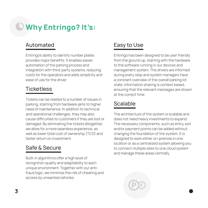# **Why Entringo? It's:**

## Automated

Entringo's ability to identify number plates provides major benefits. It enables easier automation of the parking process and integration with third-party systems, reducing costs for the operators and adds simplicity and ease of use for the driver.

## **Ticketless**

Tickets can be related to a number of issues in parking, starting from hardware jams to higher need of maintenance. In addition to technical and operational challenges, they may also cause difficulties to customers if they are lost or damaged. By eliminating the tickets altogether, we allow for a more seamless experience, as well as lower total cost of ownership (TCO) and faster return on investment.

## Safe & Secure

Built-in algorithms offer a high level of recognition quality and adaptability to each unique environment. Together with our antifraud logic, we minimize the risk of cheating and access by unwanted vehicles.

## Easy to Use

Entringo has been designed to be user friendly from the ground up, starting with the hardware to the software running in our devices and management system. The drivers are informed during every step and system managers have a constant overview of the overall parking lot state. Information sharing is context based, ensuring that the relevant messages are shown at the correct time.

## Scalable

The architecture of the system is scalable and does not need heavy investments to expand. The necessary components, such as entry, exit and/or payment points can be added without changing the foundation of the system. It is designed to work either on-premise in one location or as a centralized system allowing you to connect multiple sites to one cloud system and manage these areas centrally.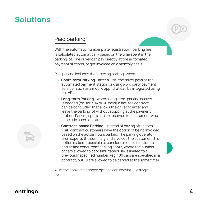## **Solutions**

#### Paid parking

With the automatic number plate registration , parking fee is calculated automatically based on the time spent in the parking lot. The driver can pay directly at the automated payment stations, or get invoiced on a monthly basis.

Paid parking includes the following parking types:

- **• Short-term Parking** after a visit, the driver pays at the automated payment station or using a 3rd party payment service (such as a mobile app) that can be integrated using our API.
- **• Long-term Parking** when a long-term parking access is needed (eg. for 7, 14 or 30 days) a flat-fee contract can be concluded that allows the driver to enter and leave the parking lot without stopping at the payment station. Parking spots can be reserved for customers who conclude such a contract.
- **• Contract-based Parking** Instead of paying after each visit, contract customers have the option of being invoiced based on the actual hours parked. The parking operator then exports the summary and invoices the customer. This option makes it possible to conclude multiple contracts and define concurrent parking spots, where the number of cars allowed to park simultaneously is limited to a previously specified number. (eg. 100 cars are specified in a contract, but 10 are allowed to be parked at the same time).

All of the above mentioned options can coexist in a single system.



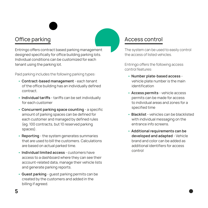## Office parking

Entringo offers contract based parking management designed specifically for office building parking lots. Individual conditions can be customized for each tenant using the parking lot.

Paid parking includes the following parking types:

- **• Contract-based management**  each tenant of the office building has an individually defined contract.
- **• Individual tariffs**  tariffs can be set individually for each customer
- **• Concurrent parking space counting**  a specific amount of parking spaces can be defined for each customer and managed by defined rules (eg. 100 contracts, but 10 reserved parking spaces).
- **• Reporting**  the system generates summaries that are used to bill the customers. Calculations are based on actual parked time.
- **• Individual limited access**  customers have access to a dashboard where they can see their account-related data, manage their vehicle lists and generate parking reports.
- **• Guest parking**  guest parking permits can be created by the customers and added in the billing if agreed.

#### Access control

The system can be used to easily control the access of listed vehicles.

Entringo offers the following access control features:

- **• Number plate-based access**  vehicle plate number is the main identification
- **• Access permits**  vehicle access permits can be made for access to individual areas and zones for a specified time
- **• Blacklist**  vehicles can be blacklisted with individual messaging on the entrance info screens.
- **• Additional requirements can be developed and adapted** - Vehicle brand and color can be added as additional identifiers for access control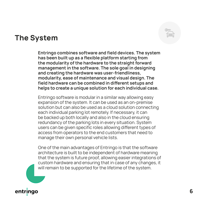## **The System**

**Entringo combines software and field devices. The system has been built up as a flexible platform starting from the modularity of the hardware to the straight forward management in the software. The sole goal in designing and creating the hardware was user-friendliness, modularity, ease of maintenance and visual design. The field hardware can be combined in different setups and helps to create a unique solution for each individual case.**

Entringo software is modular in a similar way allowing easy expansion of the system. It can be used as an on-premise solution but can also be used as a cloud solution connecting each individual parking lot remotely. If necessary, it can be backed up both locally and also in the cloud ensuring redundancy of the parking lots in every situation. System users can be given specific roles allowing different types of access from operators to the end customers that need to manage their own personal vehicle lists.

One of the main advantages of Entringo is that the software architecture is built to be independent of hardware meaning that the system is future proof, allowing easier integrations of custom hardware and ensuring that in case of any changes, it will remain to be supported for the lifetime of the system.

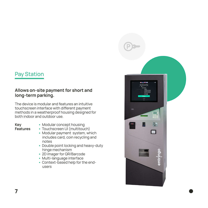#### Pay Station

#### **Allows on-site payment for short and long-term parking.**

The device is modular and features an intuitive touchscreen interface with different payment methods in a weatherproof housing designed for both indoor and outdoor use.

#### **Key Features**

- **•** Modular concept housing
- **•** Touchscreen UI (multitouch)
- **•** Modular payment system, which includes card, coin recycling and notes
- **•** Double point locking and heavy-duty hinge mechanism
- **•** 2D imager for QR/Barcode
- **•** Multi-language interface
- **•** Context-based help for the endusers

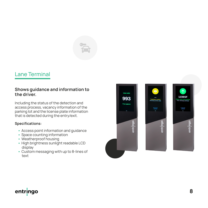

#### Lane Terminal

#### **Shows guidance and information to the driver.**

Including the status of the detection and access process, vacancy information of the parking lot and the license plate information that is detected during the entry/exit.

#### **Specifications:**

- **•** Access point information and guidance
- **•** Space counting information
- **•** Weatherproof housing
- **•** High brightness sunlight readable LCD display
- **•** Custom messaging with up to 8-lines of text



## entringo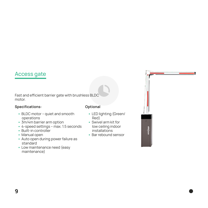#### Access gate

Fast and efficient barrier gate with brushless BLDC motor.

#### **Specifications: Optional**

- **•** BLDC motor quiet and smooth operations
- **•** 3m/4m barrier arm option
- **•** 4-speed settings max. 1.5 seconds
- **•** Built-in controller
- **•** Manual open
- **•** Auto open during power failure as standard
- **•** Low maintenance need (easy maintenance)

- **•** LED lighting (Green/ Red)
- **•** Swivel arm kit for low ceiling indoor installations
- **•** Bar rebound sensor

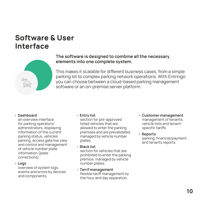## **Software & User Interface**



#### **The software is designed to combine all the necessary elements into one complete system.**

This makes it scalable for different business cases, from a simple parking lot to complex parking network operations. With Entringo you can choose between a cloud-based parking management software or an on-premise server platform.

#### **• Dashboard**

an overview interface for parking operators/ administrators, displaying information of the current parking status, vehicles parking, access gate live view and control and management of vehicle number plate information (plate corrections).

#### **• Logs**

overview of system logs, events and errors by devices and components.

#### **• Entry list**

section for pre-approved listed vehicles that are allowed to enter the parking premises and are prevalidated, managed by vehicle number plates.

**• Black list**

section for vehicles that are prohibited to enter the parking premice, managed by vehicle number plates.

**• Tarrif management** flexible tariff management by the hour and day separation.

- **• Customer management** management of tenants, vehicle lists and tenantspecific tariffs
- **• Reports** parking, financial/payment and tenants reports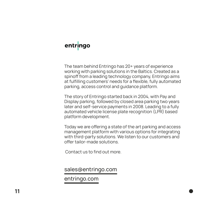## entringo

The team behind Entringo has 20+ years of experience working with parking solutions in the Baltics. Created as a spinoff from a leading technology company, Entringo aims at fulfilling customers' needs for a flexible, fully automated parking, access control and guidance platform.

The story of Entringo started back in 2004, with Pay and Display parking, followed by closed area parking two years later and self-service payments in 2008. Leading to a fully automated vehicle license plate recognition (LPR) based platform development.

Today we are offering a state of the art parking and access management platform with various options for integrating with third-party solutions. We listen to our customers and offer tailor-made solutions.

Contact us to find out more.

sales@entringo.com

entringo.com